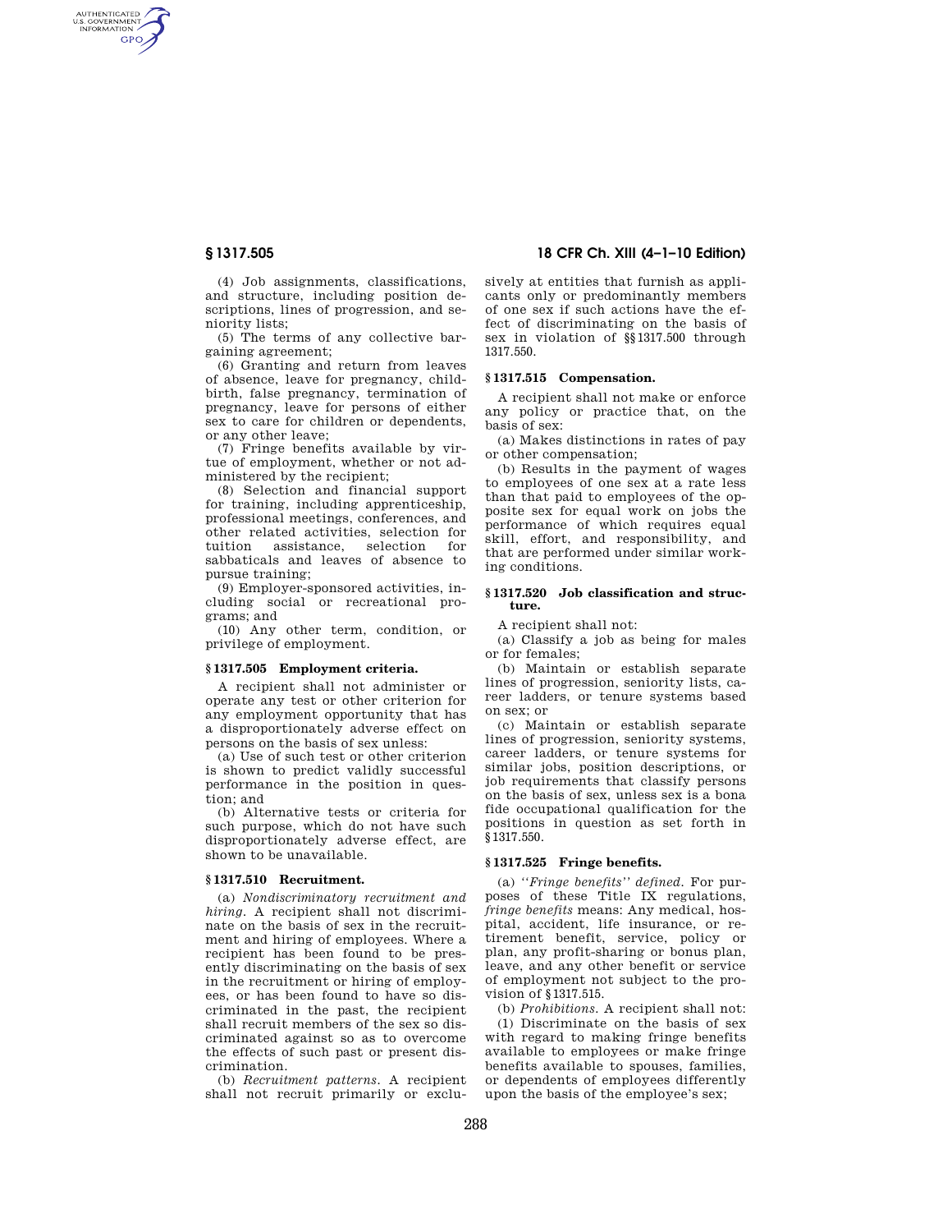AUTHENTICATED<br>U.S. GOVERNMENT<br>INFORMATION **GPO** 

> (4) Job assignments, classifications, and structure, including position descriptions, lines of progression, and seniority lists;

> (5) The terms of any collective bargaining agreement;

> (6) Granting and return from leaves of absence, leave for pregnancy, childbirth, false pregnancy, termination of pregnancy, leave for persons of either sex to care for children or dependents, or any other leave;

> (7) Fringe benefits available by virtue of employment, whether or not administered by the recipient;

(8) Selection and financial support for training, including apprenticeship, professional meetings, conferences, and other related activities, selection for tuition assistance, selection for sabbaticals and leaves of absence to pursue training;

(9) Employer-sponsored activities, including social or recreational programs; and

(10) Any other term, condition, or privilege of employment.

## **§ 1317.505 Employment criteria.**

A recipient shall not administer or operate any test or other criterion for any employment opportunity that has a disproportionately adverse effect on persons on the basis of sex unless:

(a) Use of such test or other criterion is shown to predict validly successful performance in the position in question; and

(b) Alternative tests or criteria for such purpose, which do not have such disproportionately adverse effect, are shown to be unavailable.

#### **§ 1317.510 Recruitment.**

(a) *Nondiscriminatory recruitment and hiring.* A recipient shall not discriminate on the basis of sex in the recruitment and hiring of employees. Where a recipient has been found to be presently discriminating on the basis of sex in the recruitment or hiring of employees, or has been found to have so discriminated in the past, the recipient shall recruit members of the sex so discriminated against so as to overcome the effects of such past or present discrimination.

(b) *Recruitment patterns.* A recipient shall not recruit primarily or exclu-

# **§ 1317.505 18 CFR Ch. XIII (4–1–10 Edition)**

sively at entities that furnish as applicants only or predominantly members of one sex if such actions have the effect of discriminating on the basis of sex in violation of §§1317.500 through 1317.550.

## **§ 1317.515 Compensation.**

A recipient shall not make or enforce any policy or practice that, on the basis of sex:

(a) Makes distinctions in rates of pay or other compensation;

(b) Results in the payment of wages to employees of one sex at a rate less than that paid to employees of the opposite sex for equal work on jobs the performance of which requires equal skill, effort, and responsibility, and that are performed under similar working conditions.

#### **§ 1317.520 Job classification and structure.**

A recipient shall not:

(a) Classify a job as being for males or for females;

(b) Maintain or establish separate lines of progression, seniority lists, career ladders, or tenure systems based on sex; or

(c) Maintain or establish separate lines of progression, seniority systems, career ladders, or tenure systems for similar jobs, position descriptions, or job requirements that classify persons on the basis of sex, unless sex is a bona fide occupational qualification for the positions in question as set forth in §1317.550.

#### **§ 1317.525 Fringe benefits.**

(a) *''Fringe benefits'' defined.* For purposes of these Title IX regulations, *fringe benefits* means: Any medical, hospital, accident, life insurance, or retirement benefit, service, policy or plan, any profit-sharing or bonus plan, leave, and any other benefit or service of employment not subject to the provision of §1317.515.

(b) *Prohibitions.* A recipient shall not: (1) Discriminate on the basis of sex with regard to making fringe benefits available to employees or make fringe benefits available to spouses, families, or dependents of employees differently upon the basis of the employee's sex;